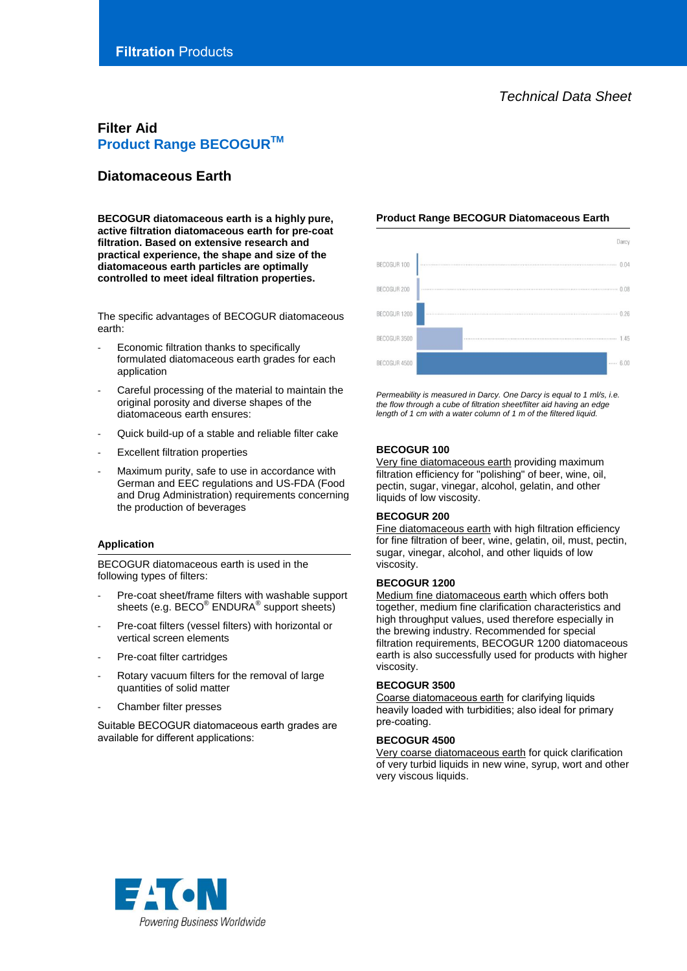# **Filter Aid Product Range BECOGURTM**

# **Diatomaceous Earth**

**BECOGUR diatomaceous earth is a highly pure, active filtration diatomaceous earth for pre-coat filtration. Based on extensive research and practical experience, the shape and size of the diatomaceous earth particles are optimally controlled to meet ideal filtration properties.**

The specific advantages of BECOGUR diatomaceous earth:

- Economic filtration thanks to specifically formulated diatomaceous earth grades for each application
- Careful processing of the material to maintain the original porosity and diverse shapes of the diatomaceous earth ensures:
- Quick build-up of a stable and reliable filter cake
- **Excellent filtration properties**
- Maximum purity, safe to use in accordance with German and EEC regulations and US-FDA (Food and Drug Administration) requirements concerning the production of beverages

# **Application**

BECOGUR diatomaceous earth is used in the following types of filters:

- Pre-coat sheet/frame filters with washable support sheets (e.g. BECO® ENDURA® support sheets)
- Pre-coat filters (vessel filters) with horizontal or vertical screen elements
- Pre-coat filter cartridges
- Rotary vacuum filters for the removal of large quantities of solid matter
- Chamber filter presses

Suitable BECOGUR diatomaceous earth grades are available for different applications:

# **Product Range BECOGUR Diatomaceous Earth**



*Permeability is measured in Darcy. One Darcy is equal to 1 ml/s, i.e. the flow through a cube of filtration sheet/filter aid having an edge length of 1 cm with a water column of 1 m of the filtered liquid.*

# **BECOGUR 100**

Very fine diatomaceous earth providing maximum filtration efficiency for "polishing" of beer, wine, oil, pectin, sugar, vinegar, alcohol, gelatin, and other liquids of low viscosity.

# **BECOGUR 200**

Fine diatomaceous earth with high filtration efficiency for fine filtration of beer, wine, gelatin, oil, must, pectin, sugar, vinegar, alcohol, and other liquids of low viscosity.

## **BECOGUR 1200**

Medium fine diatomaceous earth which offers both together, medium fine clarification characteristics and high throughput values, used therefore especially in the brewing industry. Recommended for special filtration requirements, BECOGUR 1200 diatomaceous earth is also successfully used for products with higher viscosity.

#### **BECOGUR 3500**

Coarse diatomaceous earth for clarifying liquids heavily loaded with turbidities; also ideal for primary pre-coating.

## **BECOGUR 4500**

Very coarse diatomaceous earth for quick clarification of very turbid liquids in new wine, syrup, wort and other very viscous liquids.

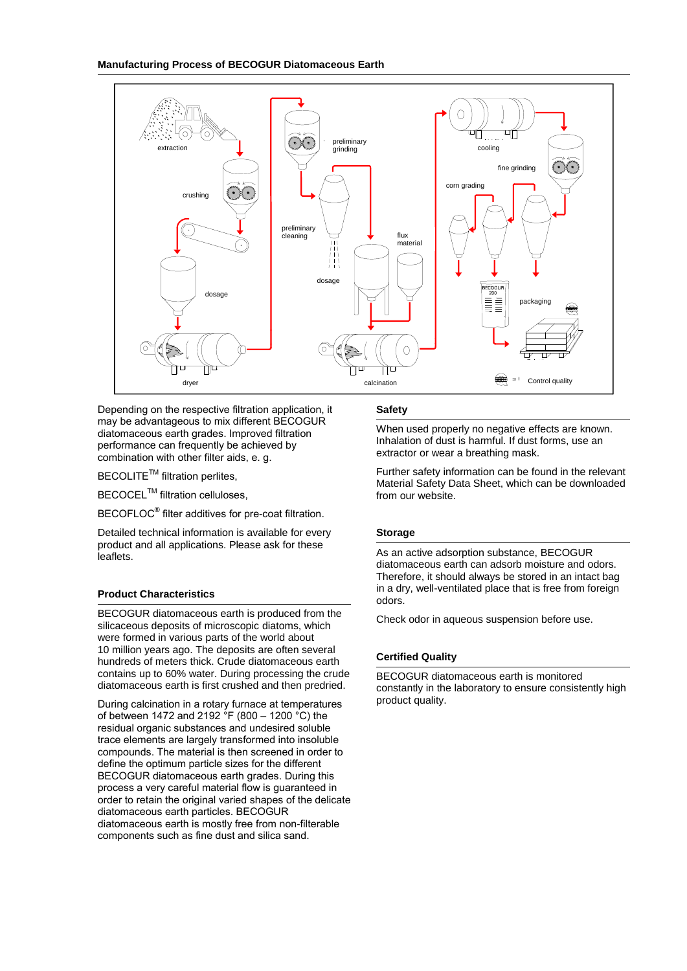

Depending on the respective filtration application, it may be advantageous to mix different BECOGUR diatomaceous earth grades. Improved filtration performance can frequently be achieved by combination with other filter aids, e. g.

**BECOLITE<sup>™</sup>** filtration perlites.

**BECOCEL<sup>™</sup> filtration celluloses,** 

BECOFLOC<sup>®</sup> filter additives for pre-coat filtration.

Detailed technical information is available for every product and all applications. Please ask for these leaflets.

# **Product Characteristics**

BECOGUR diatomaceous earth is produced from the silicaceous deposits of microscopic diatoms, which were formed in various parts of the world about 10 million years ago. The deposits are often several hundreds of meters thick. Crude diatomaceous earth contains up to 60% water. During processing the crude diatomaceous earth is first crushed and then predried.

During calcination in a rotary furnace at temperatures of between 1472 and 2192  $^{\circ}$ F (800 – 1200  $^{\circ}$ C) the residual organic substances and undesired soluble trace elements are largely transformed into insoluble compounds. The material is then screened in order to define the optimum particle sizes for the different BECOGUR diatomaceous earth grades. During this process a very careful material flow is guaranteed in order to retain the original varied shapes of the delicate diatomaceous earth particles. BECOGUR diatomaceous earth is mostly free from non-filterable components such as fine dust and silica sand.

# **Safety**

When used properly no negative effects are known. Inhalation of dust is harmful. If dust forms, use an extractor or wear a breathing mask.

Further safety information can be found in the relevant Material Safety Data Sheet, which can be downloaded from our website.

# **Storage**

As an active adsorption substance, BECOGUR diatomaceous earth can adsorb moisture and odors. Therefore, it should always be stored in an intact bag in a dry, well-ventilated place that is free from foreign odors.

Check odor in aqueous suspension before use.

# **Certified Quality**

BECOGUR diatomaceous earth is monitored constantly in the laboratory to ensure consistently high product quality.